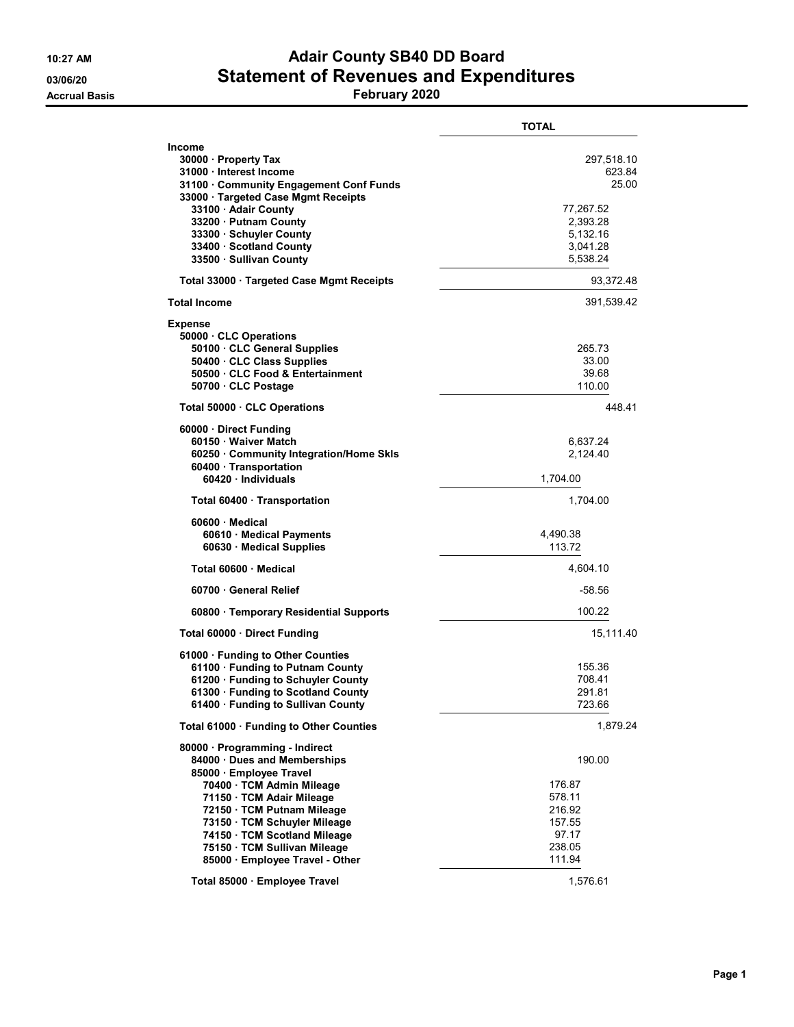## 10:27 AM **Adair County SB40 DD Board** 03/06/20 **Statement of Revenues and Expenditures**

Accrual Basis February 2020

|                                                                                                                                                                                                                                                                                                                    | TOTAL                                                                                      |
|--------------------------------------------------------------------------------------------------------------------------------------------------------------------------------------------------------------------------------------------------------------------------------------------------------------------|--------------------------------------------------------------------------------------------|
| Income<br>30000 · Property Tax<br>31000 · Interest Income<br>31100 Community Engagement Conf Funds<br>33000 · Targeted Case Mgmt Receipts<br>33100 · Adair County<br>33200 · Putnam County<br>33300 · Schuyler County<br>33400 · Scotland County<br>33500 · Sullivan County                                        | 297,518.10<br>623.84<br>25.00<br>77,267.52<br>2,393.28<br>5,132.16<br>3.041.28<br>5,538.24 |
| Total 33000 · Targeted Case Mgmt Receipts                                                                                                                                                                                                                                                                          | 93,372.48                                                                                  |
| Total Income                                                                                                                                                                                                                                                                                                       | 391,539.42                                                                                 |
| Expense<br>50000 · CLC Operations<br>50100 CLC General Supplies<br>50400 · CLC Class Supplies<br>50500 CLC Food & Entertainment<br>50700 · CLC Postage                                                                                                                                                             | 265.73<br>33.00<br>39.68<br>110.00                                                         |
| Total 50000 CLC Operations                                                                                                                                                                                                                                                                                         | 44841                                                                                      |
| 60000 · Direct Funding<br>60150 · Waiver Match<br>60250 · Community Integration/Home Skls<br>60400 Transportation<br>60420 Individuals                                                                                                                                                                             | 6,637.24<br>2,124.40<br>1,704.00                                                           |
| Total 60400 · Transportation                                                                                                                                                                                                                                                                                       | 1,704.00                                                                                   |
| 60600 Medical<br>60610 Medical Payments<br>60630 Medical Supplies                                                                                                                                                                                                                                                  | 4,490.38<br>113.72                                                                         |
| Total 60600 Medical                                                                                                                                                                                                                                                                                                | 4,604.10                                                                                   |
| 60700 General Relief                                                                                                                                                                                                                                                                                               | -58.56                                                                                     |
| 60800 · Temporary Residential Supports                                                                                                                                                                                                                                                                             | 100.22                                                                                     |
| Total 60000 Direct Funding                                                                                                                                                                                                                                                                                         | 15,111.40                                                                                  |
| 61000 · Funding to Other Counties<br>61100 · Funding to Putnam County<br>61200 · Funding to Schuyler County<br>61300 · Funding to Scotland County<br>61400 · Funding to Sullivan County                                                                                                                            | 155.36<br>708.41<br>291.81<br>723.66                                                       |
| Total 61000 · Funding to Other Counties                                                                                                                                                                                                                                                                            | 1,879.24                                                                                   |
| 80000 · Programming - Indirect<br>84000 · Dues and Memberships<br>85000 · Employee Travel<br>70400 · TCM Admin Mileage<br>71150 · TCM Adair Mileage<br>72150 · TCM Putnam Mileage<br>73150 · TCM Schuyler Mileage<br>74150 TCM Scotland Mileage<br>75150 · TCM Sullivan Mileage<br>85000 · Employee Travel - Other | 190.00<br>176.87<br>578.11<br>216.92<br>157.55<br>97.17<br>238.05<br>111.94                |
| Total 85000 · Employee Travel                                                                                                                                                                                                                                                                                      | 1,576.61                                                                                   |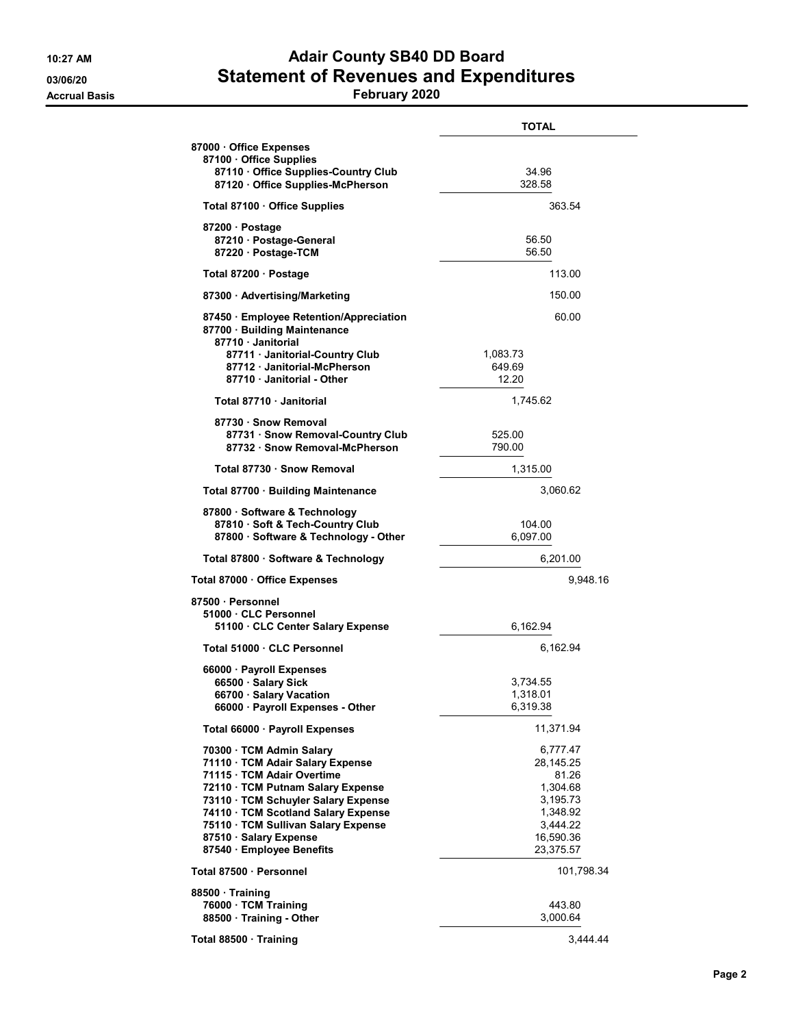## 10:27 AM **Adair County SB40 DD Board** 03/06/20 **Statement of Revenues and Expenditures**

## Accrual Basis February 2020

|                                                                                                                                                                                                                                                                                                           | <b>TOTAL</b>                                                                                             |
|-----------------------------------------------------------------------------------------------------------------------------------------------------------------------------------------------------------------------------------------------------------------------------------------------------------|----------------------------------------------------------------------------------------------------------|
| 87000 Office Expenses<br>87100 Office Supplies<br>87110 · Office Supplies-Country Club                                                                                                                                                                                                                    | 34.96                                                                                                    |
| 87120 Office Supplies-McPherson                                                                                                                                                                                                                                                                           | 328.58                                                                                                   |
| Total 87100 · Office Supplies                                                                                                                                                                                                                                                                             | 363.54                                                                                                   |
| 87200 · Postage<br>87210 · Postage-General<br>87220 · Postage-TCM                                                                                                                                                                                                                                         | 56.50<br>56.50                                                                                           |
| Total 87200 · Postage                                                                                                                                                                                                                                                                                     | 113.00                                                                                                   |
| 87300 Advertising/Marketing                                                                                                                                                                                                                                                                               | 150.00                                                                                                   |
| 87450 · Employee Retention/Appreciation<br>87700 · Building Maintenance<br>87710 Janitorial                                                                                                                                                                                                               | 60.00                                                                                                    |
| 87711 · Janitorial-Country Club<br>87712 Janitorial-McPherson<br>87710 Janitorial - Other                                                                                                                                                                                                                 | 1,083.73<br>649.69<br>12.20                                                                              |
| Total 87710 · Janitorial                                                                                                                                                                                                                                                                                  | 1,745.62                                                                                                 |
| 87730 · Snow Removal<br>87731 Snow Removal-Country Club<br>87732 Snow Removal-McPherson                                                                                                                                                                                                                   | 525.00<br>790.00                                                                                         |
| Total 87730 · Snow Removal                                                                                                                                                                                                                                                                                | 1,315.00                                                                                                 |
| Total 87700 · Building Maintenance                                                                                                                                                                                                                                                                        | 3,060.62                                                                                                 |
| 87800 · Software & Technology<br>87810 · Soft & Tech-Country Club<br>87800 · Software & Technology - Other                                                                                                                                                                                                | 104.00<br>6,097.00                                                                                       |
| Total 87800 · Software & Technology                                                                                                                                                                                                                                                                       | 6,201.00                                                                                                 |
| Total 87000 · Office Expenses                                                                                                                                                                                                                                                                             | 9,948.16                                                                                                 |
| 87500 · Personnel<br>51000 CLC Personnel<br>51100 CLC Center Salary Expense                                                                                                                                                                                                                               | 6,162.94                                                                                                 |
| Total 51000 · CLC Personnel                                                                                                                                                                                                                                                                               | 6,162.94                                                                                                 |
| 66000 · Payroll Expenses                                                                                                                                                                                                                                                                                  |                                                                                                          |
| 66500 Salary Sick<br>66700 · Salary Vacation<br>66000 · Payroll Expenses - Other                                                                                                                                                                                                                          | 3,734.55<br>1,318.01<br>6,319.38                                                                         |
| Total 66000 · Payroll Expenses                                                                                                                                                                                                                                                                            | 11,371.94                                                                                                |
| 70300 · TCM Admin Salary<br>71110 · TCM Adair Salary Expense<br>71115 · TCM Adair Overtime<br>72110 TCM Putnam Salary Expense<br>73110 · TCM Schuyler Salary Expense<br>74110 · TCM Scotland Salary Expense<br>75110 · TCM Sullivan Salary Expense<br>87510 · Salary Expense<br>87540 · Employee Benefits | 6,777.47<br>28,145.25<br>81.26<br>1,304.68<br>3,195.73<br>1,348.92<br>3,444.22<br>16,590.36<br>23,375.57 |
| Total 87500 · Personnel                                                                                                                                                                                                                                                                                   | 101,798.34                                                                                               |
| 88500 Training<br>76000 · TCM Training<br>88500 Training - Other                                                                                                                                                                                                                                          | 443.80<br>3,000.64                                                                                       |
| Total 88500 · Training                                                                                                                                                                                                                                                                                    | 3,444.44                                                                                                 |